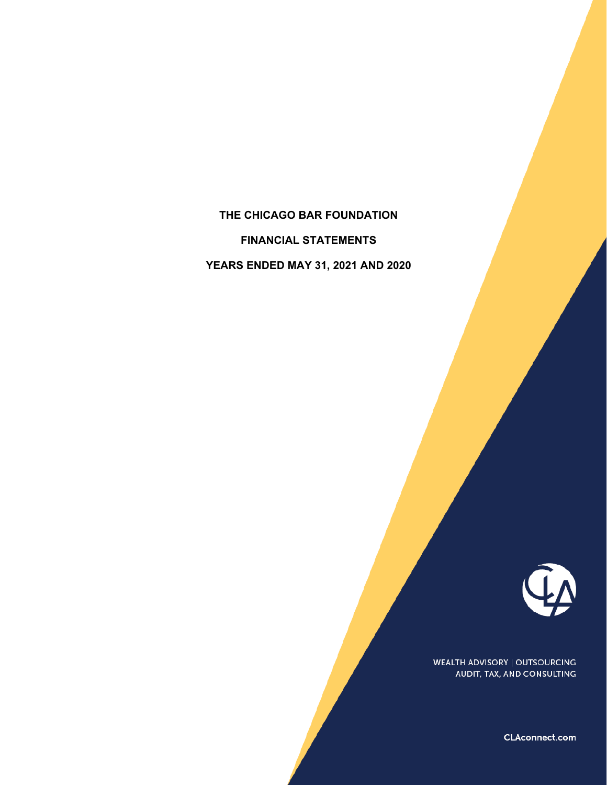# **THE CHICAGO BAR FOUNDATION**

**FINANCIAL STATEMENTS** 

**YEARS ENDED MAY 31, 2021 AND 2020** 



WEALTH ADVISORY | OUTSOURCING AUDIT, TAX, AND CONSULTING

CLAconnect.com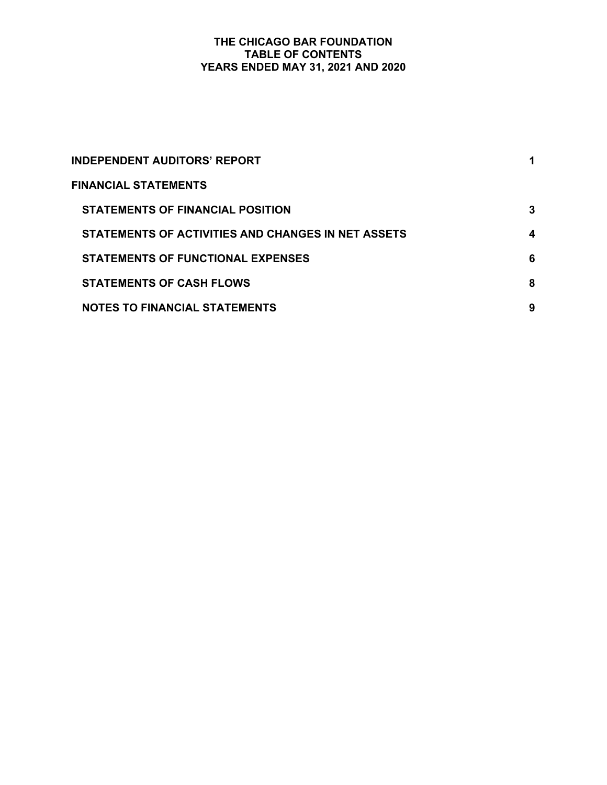# **THE CHICAGO BAR FOUNDATION TABLE OF CONTENTS YEARS ENDED MAY 31, 2021 AND 2020**

| INDEPENDENT AUDITORS' REPORT                       | 1 |
|----------------------------------------------------|---|
| FINANCIAL STATEMENTS                               |   |
| <b>STATEMENTS OF FINANCIAL POSITION</b>            | 3 |
| STATEMENTS OF ACTIVITIES AND CHANGES IN NET ASSETS | 4 |
| <b>STATEMENTS OF FUNCTIONAL EXPENSES</b>           | 6 |
| <b>STATEMENTS OF CASH FLOWS</b>                    | 8 |
| <b>NOTES TO FINANCIAL STATEMENTS</b>               | 9 |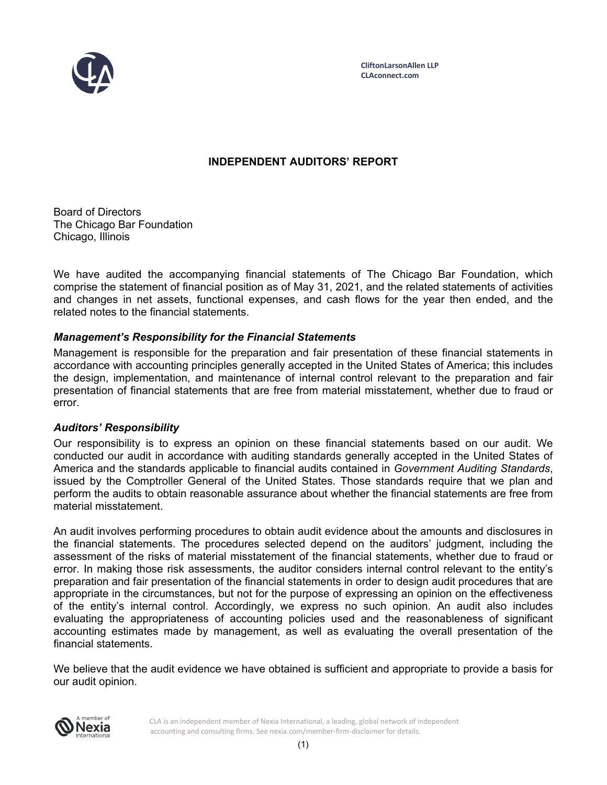

**CliftonLarsonAllen LLP CLAconnect.com**

# **INDEPENDENT AUDITORS' REPORT**

Board of Directors The Chicago Bar Foundation Chicago, Illinois

We have audited the accompanying financial statements of The Chicago Bar Foundation, which comprise the statement of financial position as of May 31, 2021, and the related statements of activities and changes in net assets, functional expenses, and cash flows for the year then ended, and the related notes to the financial statements.

# *Management's Responsibility for the Financial Statements*

Management is responsible for the preparation and fair presentation of these financial statements in accordance with accounting principles generally accepted in the United States of America; this includes the design, implementation, and maintenance of internal control relevant to the preparation and fair presentation of financial statements that are free from material misstatement, whether due to fraud or error.

# *Auditors' Responsibility*

Our responsibility is to express an opinion on these financial statements based on our audit. We conducted our audit in accordance with auditing standards generally accepted in the United States of America and the standards applicable to financial audits contained in *Government Auditing Standards*, issued by the Comptroller General of the United States. Those standards require that we plan and perform the audits to obtain reasonable assurance about whether the financial statements are free from material misstatement.

An audit involves performing procedures to obtain audit evidence about the amounts and disclosures in the financial statements. The procedures selected depend on the auditors' judgment, including the assessment of the risks of material misstatement of the financial statements, whether due to fraud or error. In making those risk assessments, the auditor considers internal control relevant to the entity's preparation and fair presentation of the financial statements in order to design audit procedures that are appropriate in the circumstances, but not for the purpose of expressing an opinion on the effectiveness of the entity's internal control. Accordingly, we express no such opinion. An audit also includes evaluating the appropriateness of accounting policies used and the reasonableness of significant accounting estimates made by management, as well as evaluating the overall presentation of the financial statements.

We believe that the audit evidence we have obtained is sufficient and appropriate to provide a basis for our audit opinion.



CLA is an independent member of Nexia International, a leading, global network of independent accounting and consulting firms. See nexia.com/member-firm-disclaimer for details.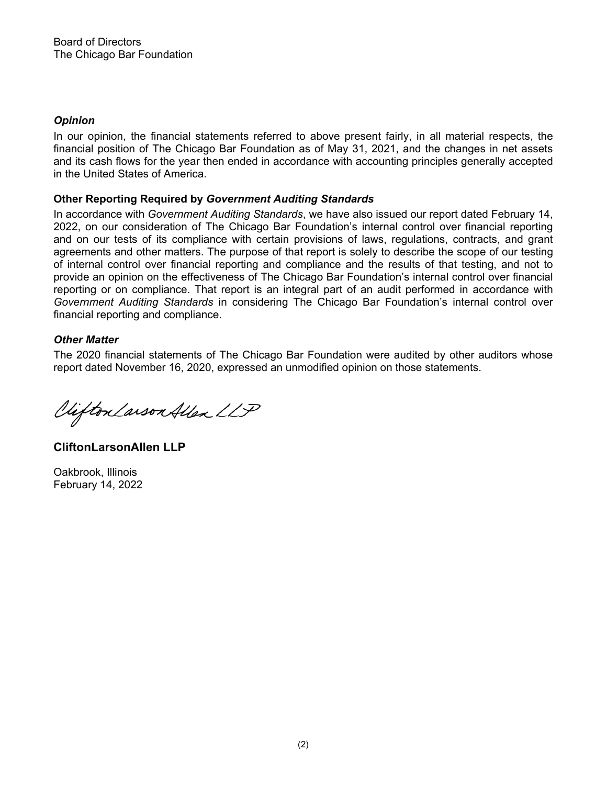# *Opinion*

In our opinion, the financial statements referred to above present fairly, in all material respects, the financial position of The Chicago Bar Foundation as of May 31, 2021, and the changes in net assets and its cash flows for the year then ended in accordance with accounting principles generally accepted in the United States of America.

# **Other Reporting Required by** *Government Auditing Standards*

In accordance with *Government Auditing Standards*, we have also issued our report dated February 14, 2022, on our consideration of The Chicago Bar Foundation's internal control over financial reporting and on our tests of its compliance with certain provisions of laws, regulations, contracts, and grant agreements and other matters. The purpose of that report is solely to describe the scope of our testing of internal control over financial reporting and compliance and the results of that testing, and not to provide an opinion on the effectiveness of The Chicago Bar Foundation's internal control over financial reporting or on compliance. That report is an integral part of an audit performed in accordance with *Government Auditing Standards* in considering The Chicago Bar Foundation's internal control over financial reporting and compliance.

# *Other Matter*

The 2020 financial statements of The Chicago Bar Foundation were audited by other auditors whose report dated November 16, 2020, expressed an unmodified opinion on those statements.

Viifton Larson Allen LLP

**CliftonLarsonAllen LLP** 

Oakbrook, Illinois February 14, 2022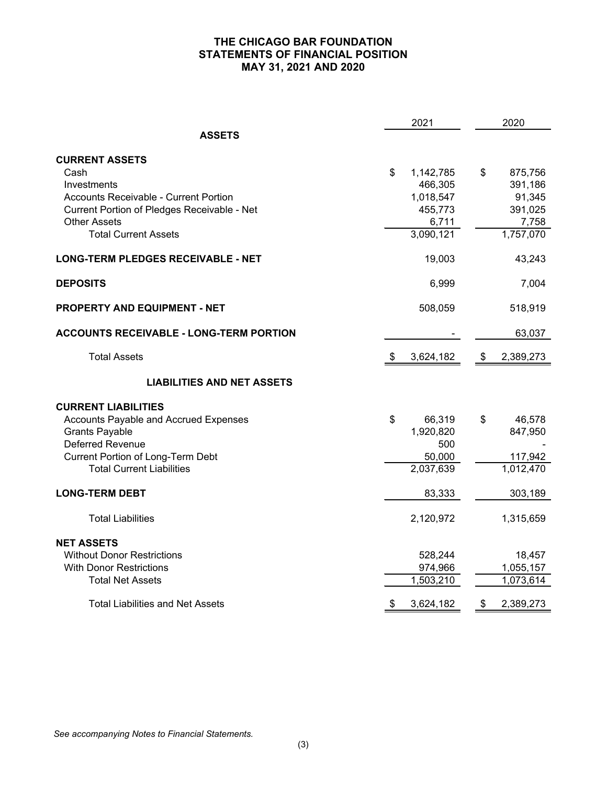# **THE CHICAGO BAR FOUNDATION STATEMENTS OF FINANCIAL POSITION MAY 31, 2021 AND 2020**

|                                                | 2021            | 2020            |
|------------------------------------------------|-----------------|-----------------|
| <b>ASSETS</b>                                  |                 |                 |
| <b>CURRENT ASSETS</b>                          |                 |                 |
| Cash                                           | \$<br>1,142,785 | \$<br>875,756   |
| Investments                                    | 466,305         | 391,186         |
| <b>Accounts Receivable - Current Portion</b>   | 1,018,547       | 91,345          |
| Current Portion of Pledges Receivable - Net    | 455,773         | 391,025         |
| <b>Other Assets</b>                            | 6,711           | 7,758           |
| <b>Total Current Assets</b>                    | 3,090,121       | 1,757,070       |
| <b>LONG-TERM PLEDGES RECEIVABLE - NET</b>      | 19,003          | 43,243          |
| <b>DEPOSITS</b>                                | 6,999           | 7,004           |
| <b>PROPERTY AND EQUIPMENT - NET</b>            | 508,059         | 518,919         |
| <b>ACCOUNTS RECEIVABLE - LONG-TERM PORTION</b> |                 | 63,037          |
| <b>Total Assets</b>                            | 3,624,182       | \$<br>2,389,273 |
| <b>LIABILITIES AND NET ASSETS</b>              |                 |                 |
| <b>CURRENT LIABILITIES</b>                     |                 |                 |
| Accounts Payable and Accrued Expenses          | \$<br>66,319    | \$<br>46,578    |
| <b>Grants Payable</b>                          | 1,920,820       | 847,950         |
| <b>Deferred Revenue</b>                        | 500             |                 |
| <b>Current Portion of Long-Term Debt</b>       | 50,000          | 117,942         |
| <b>Total Current Liabilities</b>               | 2,037,639       | 1,012,470       |
| <b>LONG-TERM DEBT</b>                          | 83,333          | 303,189         |
| <b>Total Liabilities</b>                       | 2,120,972       | 1,315,659       |
| <b>NET ASSETS</b>                              |                 |                 |
| <b>Without Donor Restrictions</b>              | 528,244         | 18,457          |
| <b>With Donor Restrictions</b>                 | 974,966         | 1,055,157       |
| <b>Total Net Assets</b>                        | 1,503,210       | 1,073,614       |
| Total Liabilities and Net Assets               | \$<br>3,624,182 | \$<br>2,389,273 |

*See accompanying Notes to Financial Statements.*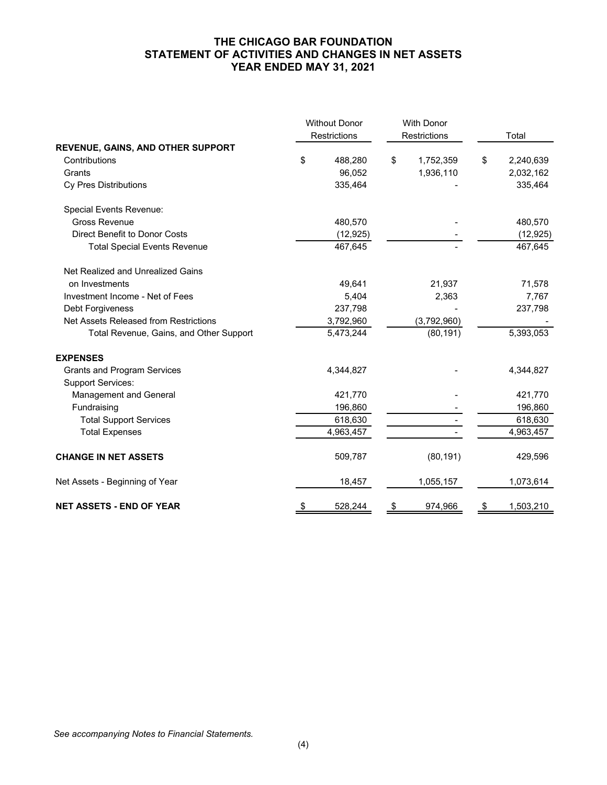### **THE CHICAGO BAR FOUNDATION STATEMENT OF ACTIVITIES AND CHANGES IN NET ASSETS YEAR ENDED MAY 31, 2021**

|                                          | <b>Without Donor</b> | <b>With Donor</b> |                 |  |
|------------------------------------------|----------------------|-------------------|-----------------|--|
|                                          | Restrictions         | Restrictions      | Total           |  |
| <b>REVENUE, GAINS, AND OTHER SUPPORT</b> |                      |                   |                 |  |
| Contributions                            | \$<br>488,280        | \$<br>1,752,359   | \$<br>2,240,639 |  |
| Grants                                   | 96,052               | 1,936,110         | 2,032,162       |  |
| Cy Pres Distributions                    | 335,464              |                   | 335,464         |  |
| <b>Special Events Revenue:</b>           |                      |                   |                 |  |
| <b>Gross Revenue</b>                     | 480,570              |                   | 480,570         |  |
| <b>Direct Benefit to Donor Costs</b>     | (12, 925)            |                   | (12, 925)       |  |
| <b>Total Special Events Revenue</b>      | 467,645              |                   | 467,645         |  |
| Net Realized and Unrealized Gains        |                      |                   |                 |  |
| on Investments                           | 49,641               | 21,937            | 71,578          |  |
| Investment Income - Net of Fees          | 5,404                | 2,363             | 7,767           |  |
| Debt Forgiveness                         | 237,798              |                   | 237,798         |  |
| Net Assets Released from Restrictions    | 3,792,960            | (3,792,960)       |                 |  |
| Total Revenue, Gains, and Other Support  | 5,473,244            | (80, 191)         | 5,393,053       |  |
| <b>EXPENSES</b>                          |                      |                   |                 |  |
| <b>Grants and Program Services</b>       | 4,344,827            |                   | 4,344,827       |  |
| <b>Support Services:</b>                 |                      |                   |                 |  |
| Management and General                   | 421,770              |                   | 421,770         |  |
| Fundraising                              | 196,860              |                   | 196,860         |  |
| <b>Total Support Services</b>            | 618,630              |                   | 618,630         |  |
| <b>Total Expenses</b>                    | 4,963,457            |                   | 4,963,457       |  |
| <b>CHANGE IN NET ASSETS</b>              | 509,787              | (80, 191)         | 429,596         |  |
| Net Assets - Beginning of Year           | 18,457               | 1,055,157         | 1,073,614       |  |
| <b>NET ASSETS - END OF YEAR</b>          | \$<br>528,244        | \$<br>974,966     | \$<br>1,503,210 |  |

*See accompanying Notes to Financial Statements.*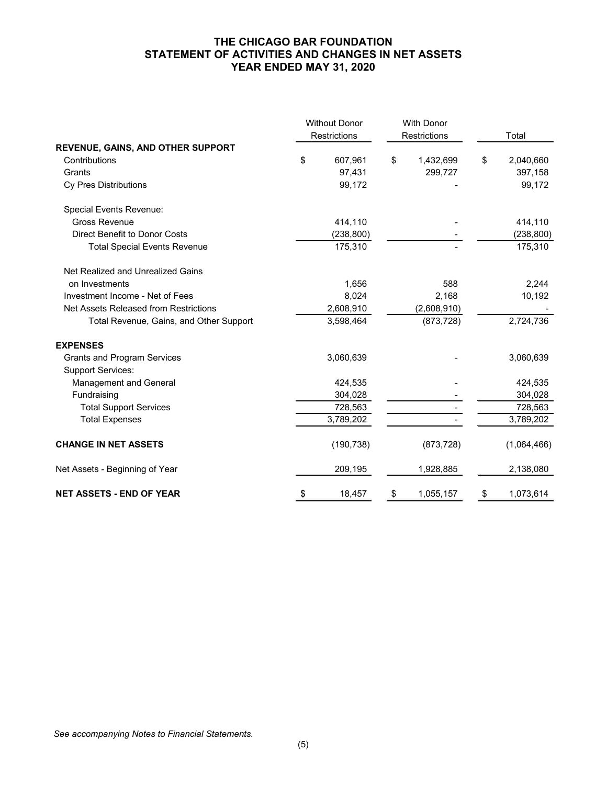# **THE CHICAGO BAR FOUNDATION STATEMENT OF ACTIVITIES AND CHANGES IN NET ASSETS YEAR ENDED MAY 31, 2020**

|                                          | <b>Without Donor</b><br>Restrictions |    | <b>With Donor</b><br>Restrictions | Total           |
|------------------------------------------|--------------------------------------|----|-----------------------------------|-----------------|
| <b>REVENUE, GAINS, AND OTHER SUPPORT</b> |                                      |    |                                   |                 |
| Contributions                            | \$<br>607,961                        | \$ | 1,432,699                         | \$<br>2,040,660 |
| Grants                                   | 97,431                               |    | 299,727                           | 397,158         |
| Cy Pres Distributions                    | 99,172                               |    |                                   | 99,172          |
| Special Events Revenue:                  |                                      |    |                                   |                 |
| <b>Gross Revenue</b>                     | 414,110                              |    |                                   | 414,110         |
| <b>Direct Benefit to Donor Costs</b>     | (238, 800)                           |    |                                   | (238, 800)      |
| <b>Total Special Events Revenue</b>      | 175,310                              |    |                                   | 175,310         |
| Net Realized and Unrealized Gains        |                                      |    |                                   |                 |
| on Investments                           | 1,656                                |    | 588                               | 2,244           |
| Investment Income - Net of Fees          | 8,024                                |    | 2,168                             | 10,192          |
| Net Assets Released from Restrictions    | 2,608,910                            |    | (2,608,910)                       |                 |
| Total Revenue, Gains, and Other Support  | 3,598,464                            |    | (873, 728)                        | 2,724,736       |
| <b>EXPENSES</b>                          |                                      |    |                                   |                 |
| <b>Grants and Program Services</b>       | 3,060,639                            |    |                                   | 3,060,639       |
| <b>Support Services:</b>                 |                                      |    |                                   |                 |
| Management and General                   | 424,535                              |    |                                   | 424,535         |
| Fundraising                              | 304,028                              |    |                                   | 304,028         |
| <b>Total Support Services</b>            | 728,563                              |    |                                   | 728,563         |
| <b>Total Expenses</b>                    | 3,789,202                            |    |                                   | 3,789,202       |
| <b>CHANGE IN NET ASSETS</b>              | (190, 738)                           |    | (873, 728)                        | (1,064,466)     |
| Net Assets - Beginning of Year           | 209,195                              |    | 1,928,885                         | 2,138,080       |
| <b>NET ASSETS - END OF YEAR</b>          | \$<br>18,457                         | \$ | 1,055,157                         | \$<br>1,073,614 |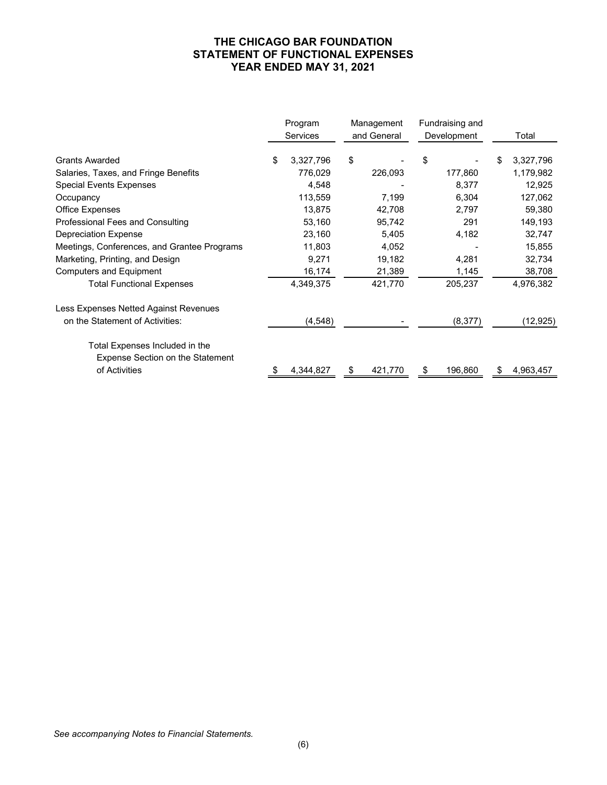### **THE CHICAGO BAR FOUNDATION STATEMENT OF FUNCTIONAL EXPENSES YEAR ENDED MAY 31, 2021**

|                                                                    | Program<br><b>Services</b> |    | Management<br>and General |    | Fundraising and<br>Development |   | Total     |
|--------------------------------------------------------------------|----------------------------|----|---------------------------|----|--------------------------------|---|-----------|
| <b>Grants Awarded</b>                                              | \$<br>3,327,796            | \$ |                           | \$ |                                | S | 3,327,796 |
| Salaries, Taxes, and Fringe Benefits                               | 776,029                    |    | 226,093                   |    | 177,860                        |   | 1,179,982 |
| <b>Special Events Expenses</b>                                     | 4,548                      |    |                           |    | 8,377                          |   | 12,925    |
| Occupancy                                                          | 113,559                    |    | 7,199                     |    | 6,304                          |   | 127,062   |
| Office Expenses                                                    | 13,875                     |    | 42,708                    |    | 2,797                          |   | 59,380    |
| Professional Fees and Consulting                                   | 53,160                     |    | 95,742                    |    | 291                            |   | 149,193   |
| <b>Depreciation Expense</b>                                        | 23,160                     |    | 5,405                     |    | 4,182                          |   | 32,747    |
| Meetings, Conferences, and Grantee Programs                        | 11,803                     |    | 4,052                     |    |                                |   | 15,855    |
| Marketing, Printing, and Design                                    | 9,271                      |    | 19,182                    |    | 4,281                          |   | 32,734    |
| <b>Computers and Equipment</b>                                     | 16,174                     |    | 21,389                    |    | 1,145                          |   | 38,708    |
| <b>Total Functional Expenses</b>                                   | 4,349,375                  |    | 421,770                   |    | 205,237                        |   | 4,976,382 |
| Less Expenses Netted Against Revenues                              |                            |    |                           |    |                                |   |           |
| on the Statement of Activities:                                    | (4, 548)                   |    |                           |    | (8, 377)                       |   | (12, 925) |
| Total Expenses Included in the<br>Expense Section on the Statement |                            |    |                           |    |                                |   |           |
| of Activities                                                      | 4,344,827                  | S  | 421,770                   | Ъ. | 196,860                        | S | 4,963,457 |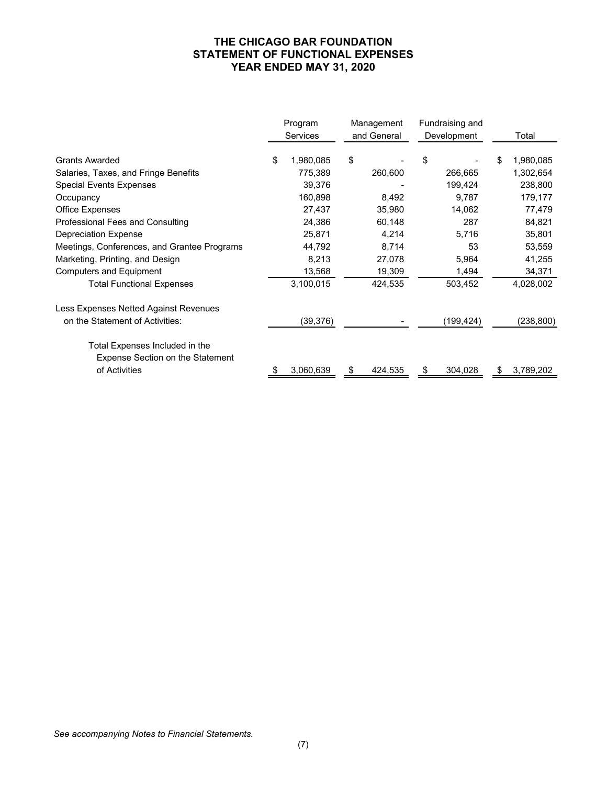### **THE CHICAGO BAR FOUNDATION STATEMENT OF FUNCTIONAL EXPENSES YEAR ENDED MAY 31, 2020**

|                                                                           | Program<br><b>Services</b> | Management<br>and General | Fundraising and<br>Development |    | Total      |
|---------------------------------------------------------------------------|----------------------------|---------------------------|--------------------------------|----|------------|
| <b>Grants Awarded</b>                                                     | \$<br>1,980,085            | \$                        | \$                             | \$ | 1,980,085  |
| Salaries, Taxes, and Fringe Benefits                                      | 775,389                    | 260,600                   | 266,665                        |    | 1,302,654  |
| <b>Special Events Expenses</b>                                            | 39,376                     |                           | 199,424                        |    | 238,800    |
| Occupancy                                                                 | 160,898                    | 8,492                     | 9,787                          |    | 179,177    |
| Office Expenses                                                           | 27,437                     | 35,980                    | 14,062                         |    | 77,479     |
| Professional Fees and Consulting                                          | 24,386                     | 60,148                    | 287                            |    | 84,821     |
| <b>Depreciation Expense</b>                                               | 25,871                     | 4,214                     | 5,716                          |    | 35,801     |
| Meetings, Conferences, and Grantee Programs                               | 44,792                     | 8,714                     | 53                             |    | 53,559     |
| Marketing, Printing, and Design                                           | 8,213                      | 27,078                    | 5,964                          |    | 41,255     |
| <b>Computers and Equipment</b>                                            | 13,568                     | 19,309                    | 1,494                          |    | 34,371     |
| <b>Total Functional Expenses</b>                                          | 3,100,015                  | 424,535                   | 503,452                        |    | 4,028,002  |
| Less Expenses Netted Against Revenues                                     |                            |                           |                                |    |            |
| on the Statement of Activities:                                           | (39, 376)                  |                           | (199, 424)                     |    | (238, 800) |
| Total Expenses Included in the<br><b>Expense Section on the Statement</b> |                            |                           |                                |    |            |
| of Activities                                                             | 3,060,639                  | \$<br>424,535             | 304,028                        | S  | 3,789,202  |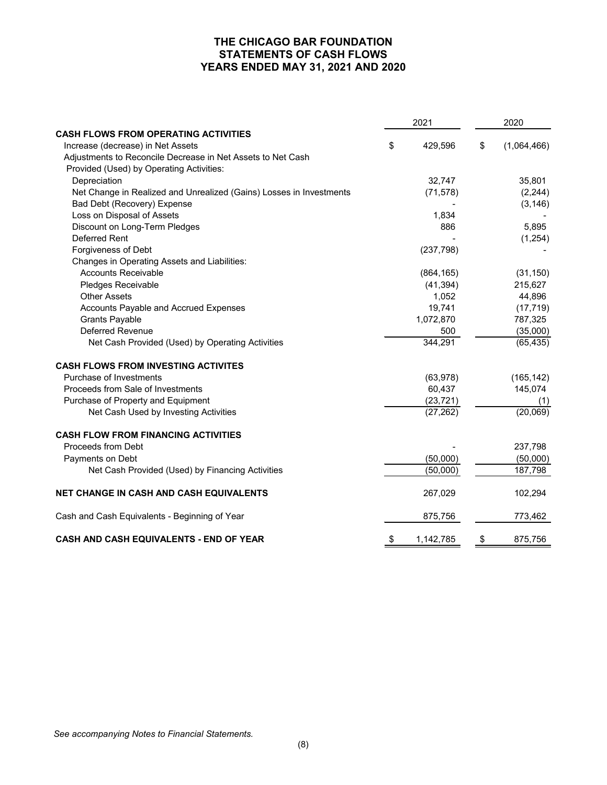### **THE CHICAGO BAR FOUNDATION STATEMENTS OF CASH FLOWS YEARS ENDED MAY 31, 2021 AND 2020**

|                                                                     |    | 2021       | 2020              |  |
|---------------------------------------------------------------------|----|------------|-------------------|--|
| <b>CASH FLOWS FROM OPERATING ACTIVITIES</b>                         |    |            |                   |  |
| Increase (decrease) in Net Assets                                   | \$ | 429,596    | \$<br>(1,064,466) |  |
| Adjustments to Reconcile Decrease in Net Assets to Net Cash         |    |            |                   |  |
| Provided (Used) by Operating Activities:                            |    |            |                   |  |
| Depreciation                                                        |    | 32,747     | 35,801            |  |
| Net Change in Realized and Unrealized (Gains) Losses in Investments |    | (71, 578)  | (2,244)           |  |
| Bad Debt (Recovery) Expense                                         |    |            | (3, 146)          |  |
| Loss on Disposal of Assets                                          |    | 1,834      |                   |  |
| Discount on Long-Term Pledges                                       |    | 886        | 5,895             |  |
| Deferred Rent                                                       |    |            | (1,254)           |  |
| Forgiveness of Debt                                                 |    | (237, 798) |                   |  |
| Changes in Operating Assets and Liabilities:                        |    |            |                   |  |
| <b>Accounts Receivable</b>                                          |    | (864, 165) | (31, 150)         |  |
| Pledges Receivable                                                  |    | (41, 394)  | 215,627           |  |
| <b>Other Assets</b>                                                 |    | 1,052      | 44,896            |  |
| Accounts Payable and Accrued Expenses                               |    | 19,741     | (17, 719)         |  |
| <b>Grants Payable</b>                                               |    | 1,072,870  | 787,325           |  |
| <b>Deferred Revenue</b>                                             |    | 500        | (35,000)          |  |
| Net Cash Provided (Used) by Operating Activities                    |    | 344,291    | (65, 435)         |  |
| <b>CASH FLOWS FROM INVESTING ACTIVITES</b>                          |    |            |                   |  |
| Purchase of Investments                                             |    | (63,978)   | (165, 142)        |  |
| Proceeds from Sale of Investments                                   |    | 60,437     | 145,074           |  |
| Purchase of Property and Equipment                                  |    | (23, 721)  | (1)               |  |
| Net Cash Used by Investing Activities                               |    | (27, 262)  | (20,069)          |  |
| <b>CASH FLOW FROM FINANCING ACTIVITIES</b>                          |    |            |                   |  |
| Proceeds from Debt                                                  |    |            | 237,798           |  |
| Payments on Debt                                                    |    | (50,000)   | (50,000)          |  |
| Net Cash Provided (Used) by Financing Activities                    |    | (50,000)   | 187,798           |  |
| <b>NET CHANGE IN CASH AND CASH EQUIVALENTS</b>                      |    | 267,029    | 102,294           |  |
| Cash and Cash Equivalents - Beginning of Year                       |    | 875,756    | 773,462           |  |
| CASH AND CASH EQUIVALENTS - END OF YEAR                             | \$ | 1,142,785  | \$<br>875,756     |  |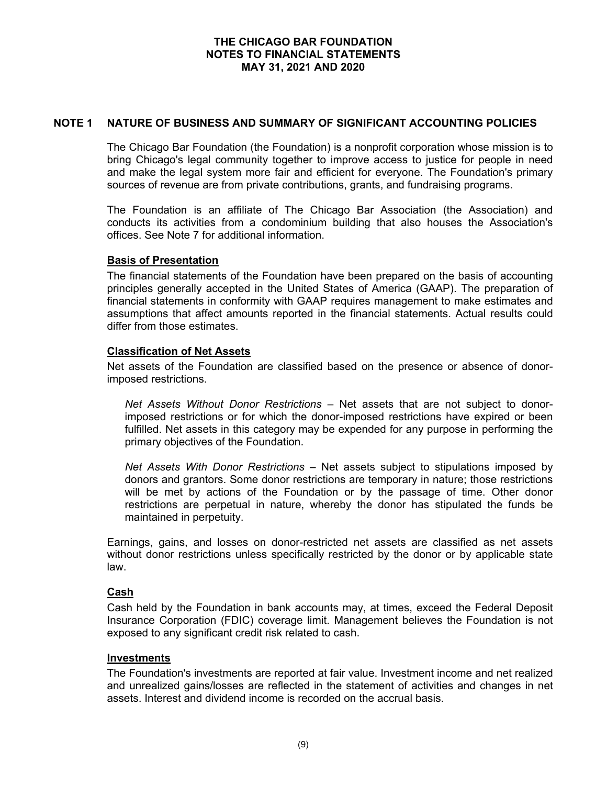# **NOTE 1 NATURE OF BUSINESS AND SUMMARY OF SIGNIFICANT ACCOUNTING POLICIES**

The Chicago Bar Foundation (the Foundation) is a nonprofit corporation whose mission is to bring Chicago's legal community together to improve access to justice for people in need and make the legal system more fair and efficient for everyone. The Foundation's primary sources of revenue are from private contributions, grants, and fundraising programs.

The Foundation is an affiliate of The Chicago Bar Association (the Association) and conducts its activities from a condominium building that also houses the Association's offices. See Note 7 for additional information.

### **Basis of Presentation**

The financial statements of the Foundation have been prepared on the basis of accounting principles generally accepted in the United States of America (GAAP). The preparation of financial statements in conformity with GAAP requires management to make estimates and assumptions that affect amounts reported in the financial statements. Actual results could differ from those estimates.

# **Classification of Net Assets**

Net assets of the Foundation are classified based on the presence or absence of donorimposed restrictions.

*Net Assets Without Donor Restrictions –* Net assets that are not subject to donorimposed restrictions or for which the donor-imposed restrictions have expired or been fulfilled. Net assets in this category may be expended for any purpose in performing the primary objectives of the Foundation.

*Net Assets With Donor Restrictions –* Net assets subject to stipulations imposed by donors and grantors. Some donor restrictions are temporary in nature; those restrictions will be met by actions of the Foundation or by the passage of time. Other donor restrictions are perpetual in nature, whereby the donor has stipulated the funds be maintained in perpetuity.

Earnings, gains, and losses on donor-restricted net assets are classified as net assets without donor restrictions unless specifically restricted by the donor or by applicable state law.

#### **Cash**

Cash held by the Foundation in bank accounts may, at times, exceed the Federal Deposit Insurance Corporation (FDIC) coverage limit. Management believes the Foundation is not exposed to any significant credit risk related to cash.

#### **Investments**

The Foundation's investments are reported at fair value. Investment income and net realized and unrealized gains/losses are reflected in the statement of activities and changes in net assets. Interest and dividend income is recorded on the accrual basis.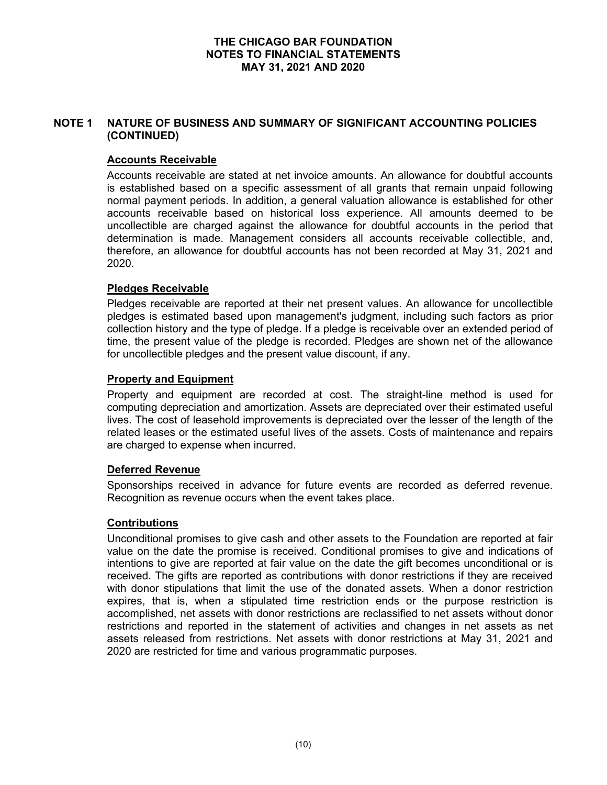# **NOTE 1 NATURE OF BUSINESS AND SUMMARY OF SIGNIFICANT ACCOUNTING POLICIES (CONTINUED)**

# **Accounts Receivable**

Accounts receivable are stated at net invoice amounts. An allowance for doubtful accounts is established based on a specific assessment of all grants that remain unpaid following normal payment periods. In addition, a general valuation allowance is established for other accounts receivable based on historical loss experience. All amounts deemed to be uncollectible are charged against the allowance for doubtful accounts in the period that determination is made. Management considers all accounts receivable collectible, and, therefore, an allowance for doubtful accounts has not been recorded at May 31, 2021 and 2020.

# **Pledges Receivable**

Pledges receivable are reported at their net present values. An allowance for uncollectible pledges is estimated based upon management's judgment, including such factors as prior collection history and the type of pledge. If a pledge is receivable over an extended period of time, the present value of the pledge is recorded. Pledges are shown net of the allowance for uncollectible pledges and the present value discount, if any.

### **Property and Equipment**

Property and equipment are recorded at cost. The straight-line method is used for computing depreciation and amortization. Assets are depreciated over their estimated useful lives. The cost of leasehold improvements is depreciated over the lesser of the length of the related leases or the estimated useful lives of the assets. Costs of maintenance and repairs are charged to expense when incurred.

# **Deferred Revenue**

Sponsorships received in advance for future events are recorded as deferred revenue. Recognition as revenue occurs when the event takes place.

# **Contributions**

Unconditional promises to give cash and other assets to the Foundation are reported at fair value on the date the promise is received. Conditional promises to give and indications of intentions to give are reported at fair value on the date the gift becomes unconditional or is received. The gifts are reported as contributions with donor restrictions if they are received with donor stipulations that limit the use of the donated assets. When a donor restriction expires, that is, when a stipulated time restriction ends or the purpose restriction is accomplished, net assets with donor restrictions are reclassified to net assets without donor restrictions and reported in the statement of activities and changes in net assets as net assets released from restrictions. Net assets with donor restrictions at May 31, 2021 and 2020 are restricted for time and various programmatic purposes.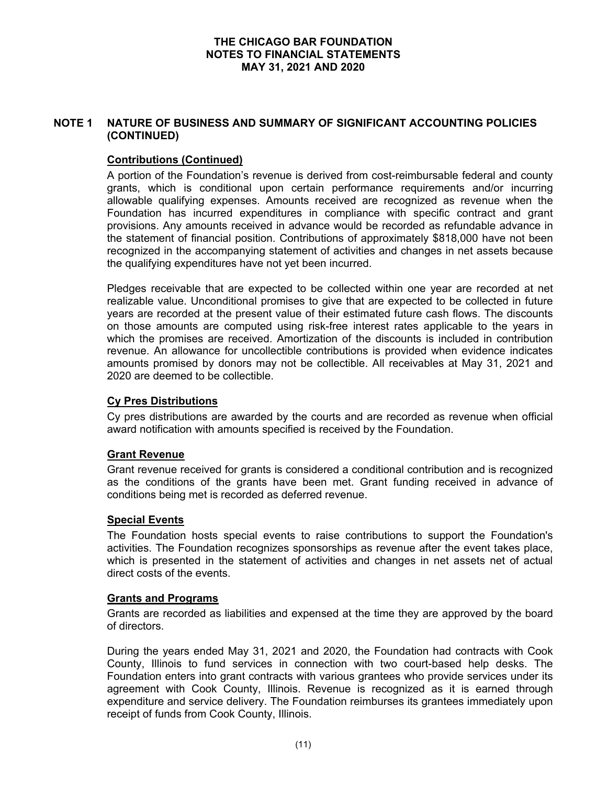# **NOTE 1 NATURE OF BUSINESS AND SUMMARY OF SIGNIFICANT ACCOUNTING POLICIES (CONTINUED)**

# **Contributions (Continued)**

A portion of the Foundation's revenue is derived from cost-reimbursable federal and county grants, which is conditional upon certain performance requirements and/or incurring allowable qualifying expenses. Amounts received are recognized as revenue when the Foundation has incurred expenditures in compliance with specific contract and grant provisions. Any amounts received in advance would be recorded as refundable advance in the statement of financial position. Contributions of approximately \$818,000 have not been recognized in the accompanying statement of activities and changes in net assets because the qualifying expenditures have not yet been incurred.

Pledges receivable that are expected to be collected within one year are recorded at net realizable value. Unconditional promises to give that are expected to be collected in future years are recorded at the present value of their estimated future cash flows. The discounts on those amounts are computed using risk-free interest rates applicable to the years in which the promises are received. Amortization of the discounts is included in contribution revenue. An allowance for uncollectible contributions is provided when evidence indicates amounts promised by donors may not be collectible. All receivables at May 31, 2021 and 2020 are deemed to be collectible.

# **Cy Pres Distributions**

Cy pres distributions are awarded by the courts and are recorded as revenue when official award notification with amounts specified is received by the Foundation.

#### **Grant Revenue**

Grant revenue received for grants is considered a conditional contribution and is recognized as the conditions of the grants have been met. Grant funding received in advance of conditions being met is recorded as deferred revenue.

#### **Special Events**

The Foundation hosts special events to raise contributions to support the Foundation's activities. The Foundation recognizes sponsorships as revenue after the event takes place, which is presented in the statement of activities and changes in net assets net of actual direct costs of the events.

#### **Grants and Programs**

Grants are recorded as liabilities and expensed at the time they are approved by the board of directors.

During the years ended May 31, 2021 and 2020, the Foundation had contracts with Cook County, Illinois to fund services in connection with two court-based help desks. The Foundation enters into grant contracts with various grantees who provide services under its agreement with Cook County, Illinois. Revenue is recognized as it is earned through expenditure and service delivery. The Foundation reimburses its grantees immediately upon receipt of funds from Cook County, Illinois.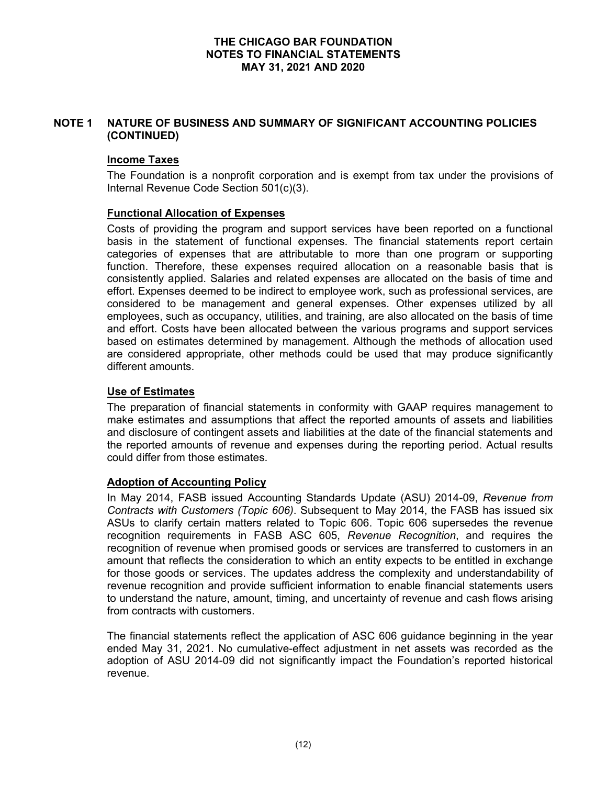# **NOTE 1 NATURE OF BUSINESS AND SUMMARY OF SIGNIFICANT ACCOUNTING POLICIES (CONTINUED)**

### **Income Taxes**

The Foundation is a nonprofit corporation and is exempt from tax under the provisions of Internal Revenue Code Section 501(c)(3).

### **Functional Allocation of Expenses**

Costs of providing the program and support services have been reported on a functional basis in the statement of functional expenses. The financial statements report certain categories of expenses that are attributable to more than one program or supporting function. Therefore, these expenses required allocation on a reasonable basis that is consistently applied. Salaries and related expenses are allocated on the basis of time and effort. Expenses deemed to be indirect to employee work, such as professional services, are considered to be management and general expenses. Other expenses utilized by all employees, such as occupancy, utilities, and training, are also allocated on the basis of time and effort. Costs have been allocated between the various programs and support services based on estimates determined by management. Although the methods of allocation used are considered appropriate, other methods could be used that may produce significantly different amounts.

# **Use of Estimates**

The preparation of financial statements in conformity with GAAP requires management to make estimates and assumptions that affect the reported amounts of assets and liabilities and disclosure of contingent assets and liabilities at the date of the financial statements and the reported amounts of revenue and expenses during the reporting period. Actual results could differ from those estimates.

#### **Adoption of Accounting Policy**

In May 2014, FASB issued Accounting Standards Update (ASU) 2014-09, *Revenue from Contracts with Customers (Topic 606)*. Subsequent to May 2014, the FASB has issued six ASUs to clarify certain matters related to Topic 606. Topic 606 supersedes the revenue recognition requirements in FASB ASC 605, *Revenue Recognition*, and requires the recognition of revenue when promised goods or services are transferred to customers in an amount that reflects the consideration to which an entity expects to be entitled in exchange for those goods or services. The updates address the complexity and understandability of revenue recognition and provide sufficient information to enable financial statements users to understand the nature, amount, timing, and uncertainty of revenue and cash flows arising from contracts with customers.

The financial statements reflect the application of ASC 606 guidance beginning in the year ended May 31, 2021. No cumulative-effect adjustment in net assets was recorded as the adoption of ASU 2014-09 did not significantly impact the Foundation's reported historical revenue.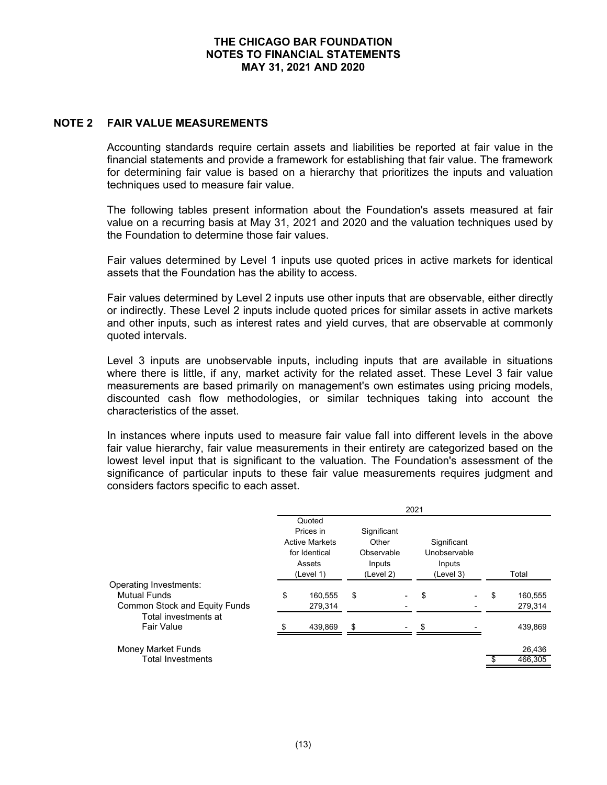### **NOTE 2 FAIR VALUE MEASUREMENTS**

Accounting standards require certain assets and liabilities be reported at fair value in the financial statements and provide a framework for establishing that fair value. The framework for determining fair value is based on a hierarchy that prioritizes the inputs and valuation techniques used to measure fair value.

The following tables present information about the Foundation's assets measured at fair value on a recurring basis at May 31, 2021 and 2020 and the valuation techniques used by the Foundation to determine those fair values.

Fair values determined by Level 1 inputs use quoted prices in active markets for identical assets that the Foundation has the ability to access.

Fair values determined by Level 2 inputs use other inputs that are observable, either directly or indirectly. These Level 2 inputs include quoted prices for similar assets in active markets and other inputs, such as interest rates and yield curves, that are observable at commonly quoted intervals.

Level 3 inputs are unobservable inputs, including inputs that are available in situations where there is little, if any, market activity for the related asset. These Level 3 fair value measurements are based primarily on management's own estimates using pricing models, discounted cash flow methodologies, or similar techniques taking into account the characteristics of the asset.

In instances where inputs used to measure fair value fall into different levels in the above fair value hierarchy, fair value measurements in their entirety are categorized based on the lowest level input that is significant to the valuation. The Foundation's assessment of the significance of particular inputs to these fair value measurements requires judgment and considers factors specific to each asset.

|                                           | 2021 |                                        |    |                     |    |                             |    |         |  |
|-------------------------------------------|------|----------------------------------------|----|---------------------|----|-----------------------------|----|---------|--|
|                                           |      | Quoted<br>Prices in                    |    | Significant         |    |                             |    |         |  |
|                                           |      | <b>Active Markets</b><br>for Identical |    | Other<br>Observable |    | Significant<br>Unobservable |    |         |  |
|                                           |      | Assets<br>(Level 1)                    |    | Inputs<br>(Level 2) |    | Inputs<br>(Level 3)         |    | Total   |  |
| Operating Investments:                    |      |                                        |    |                     |    |                             |    |         |  |
| <b>Mutual Funds</b>                       | \$   | 160,555                                | \$ |                     | \$ |                             | \$ | 160,555 |  |
| <b>Common Stock and Equity Funds</b>      |      | 279,314                                |    |                     |    |                             |    | 279,314 |  |
| Total investments at<br><b>Fair Value</b> |      | 439.869                                | \$ |                     |    |                             |    | 439,869 |  |
| Money Market Funds                        |      |                                        |    |                     |    |                             |    | 26,436  |  |
| <b>Total Investments</b>                  |      |                                        |    |                     |    |                             |    | 466,305 |  |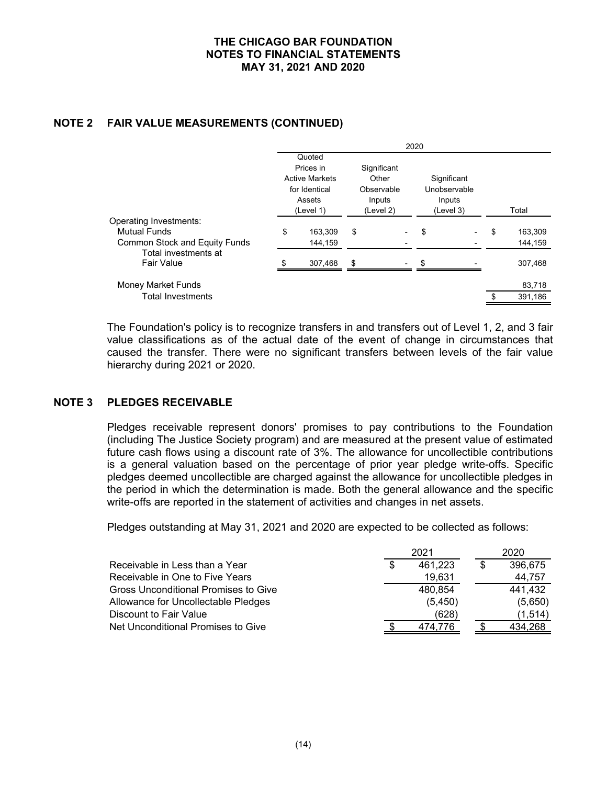# **NOTE 2 FAIR VALUE MEASUREMENTS (CONTINUED)**

|                                      | 2020 |                                                                                      |                                                           |  |    |                                                    |    |         |  |
|--------------------------------------|------|--------------------------------------------------------------------------------------|-----------------------------------------------------------|--|----|----------------------------------------------------|----|---------|--|
|                                      |      | Quoted<br>Prices in<br><b>Active Markets</b><br>for Identical<br>Assets<br>(Level 1) | Significant<br>Other<br>Observable<br>Inputs<br>(Level 2) |  |    | Significant<br>Unobservable<br>Inputs<br>(Level 3) |    | Total   |  |
| Operating Investments:               |      |                                                                                      |                                                           |  |    |                                                    |    |         |  |
| <b>Mutual Funds</b>                  | \$   | 163,309                                                                              | \$                                                        |  | \$ |                                                    | \$ | 163,309 |  |
| <b>Common Stock and Equity Funds</b> |      | 144,159                                                                              |                                                           |  |    |                                                    |    | 144,159 |  |
| Total investments at<br>Fair Value   |      | 307,468                                                                              | \$                                                        |  | \$ |                                                    |    | 307,468 |  |
| Money Market Funds                   |      |                                                                                      |                                                           |  |    |                                                    |    | 83,718  |  |
| <b>Total Investments</b>             |      |                                                                                      |                                                           |  |    |                                                    |    | 391,186 |  |
|                                      |      |                                                                                      |                                                           |  |    |                                                    |    |         |  |

The Foundation's policy is to recognize transfers in and transfers out of Level 1, 2, and 3 fair value classifications as of the actual date of the event of change in circumstances that caused the transfer. There were no significant transfers between levels of the fair value hierarchy during 2021 or 2020.

# **NOTE 3 PLEDGES RECEIVABLE**

Pledges receivable represent donors' promises to pay contributions to the Foundation (including The Justice Society program) and are measured at the present value of estimated future cash flows using a discount rate of 3%. The allowance for uncollectible contributions is a general valuation based on the percentage of prior year pledge write-offs. Specific pledges deemed uncollectible are charged against the allowance for uncollectible pledges in the period in which the determination is made. Both the general allowance and the specific write-offs are reported in the statement of activities and changes in net assets.

Pledges outstanding at May 31, 2021 and 2020 are expected to be collected as follows:

|                                      | 2021    | 2020    |
|--------------------------------------|---------|---------|
| Receivable in Less than a Year       | 461,223 | 396,675 |
| Receivable in One to Five Years      | 19,631  | 44,757  |
| Gross Unconditional Promises to Give | 480.854 | 441,432 |
| Allowance for Uncollectable Pledges  | (5,450) | (5,650) |
| Discount to Fair Value               | (628)   | (1,514) |
| Net Unconditional Promises to Give   | 474.776 | 434.268 |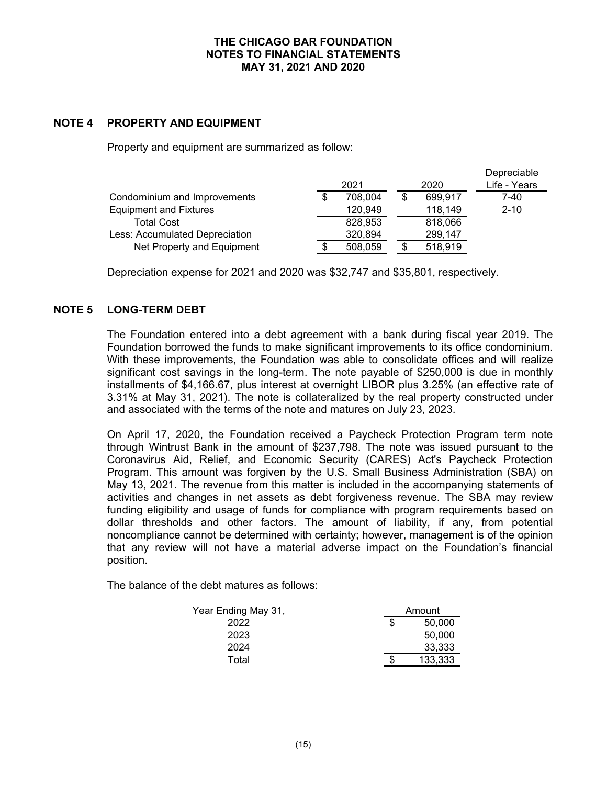### **NOTE 4 PROPERTY AND EQUIPMENT**

Property and equipment are summarized as follow:

|                                |         |               | Depreciable  |
|--------------------------------|---------|---------------|--------------|
|                                | 2021    | 2020          | Life - Years |
| Condominium and Improvements   | 708,004 | \$<br>699,917 | 7-40         |
| <b>Equipment and Fixtures</b>  | 120,949 | 118,149       | $2 - 10$     |
| <b>Total Cost</b>              | 828,953 | 818,066       |              |
| Less: Accumulated Depreciation | 320,894 | 299,147       |              |
| Net Property and Equipment     | 508.059 | 518,919       |              |

Depreciation expense for 2021 and 2020 was \$32,747 and \$35,801, respectively.

### **NOTE 5 LONG-TERM DEBT**

The Foundation entered into a debt agreement with a bank during fiscal year 2019. The Foundation borrowed the funds to make significant improvements to its office condominium. With these improvements, the Foundation was able to consolidate offices and will realize significant cost savings in the long-term. The note payable of \$250,000 is due in monthly installments of \$4,166.67, plus interest at overnight LIBOR plus 3.25% (an effective rate of 3.31% at May 31, 2021). The note is collateralized by the real property constructed under and associated with the terms of the note and matures on July 23, 2023.

On April 17, 2020, the Foundation received a Paycheck Protection Program term note through Wintrust Bank in the amount of \$237,798. The note was issued pursuant to the Coronavirus Aid, Relief, and Economic Security (CARES) Act's Paycheck Protection Program. This amount was forgiven by the U.S. Small Business Administration (SBA) on May 13, 2021. The revenue from this matter is included in the accompanying statements of activities and changes in net assets as debt forgiveness revenue. The SBA may review funding eligibility and usage of funds for compliance with program requirements based on dollar thresholds and other factors. The amount of liability, if any, from potential noncompliance cannot be determined with certainty; however, management is of the opinion that any review will not have a material adverse impact on the Foundation's financial position.

The balance of the debt matures as follows:

| Year Ending May 31, | Amount |         |  |  |
|---------------------|--------|---------|--|--|
| 2022                | S      | 50,000  |  |  |
| 2023                |        | 50,000  |  |  |
| 2024                |        | 33,333  |  |  |
| Total               |        | 133.333 |  |  |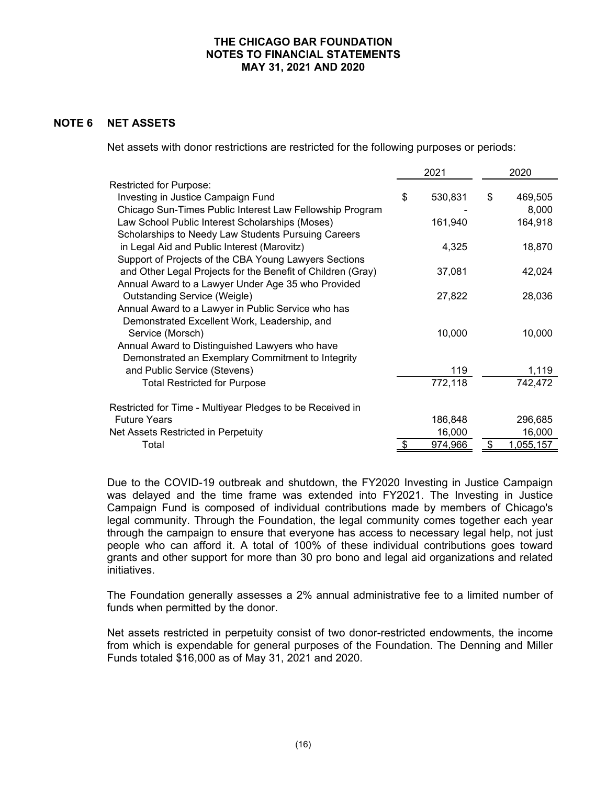### **NOTE 6 NET ASSETS**

Net assets with donor restrictions are restricted for the following purposes or periods:

|                                                             | 2021 |         | 2020 |           |
|-------------------------------------------------------------|------|---------|------|-----------|
| <b>Restricted for Purpose:</b>                              |      |         |      |           |
| Investing in Justice Campaign Fund                          | \$   | 530,831 | \$   | 469,505   |
| Chicago Sun-Times Public Interest Law Fellowship Program    |      |         |      | 8,000     |
| Law School Public Interest Scholarships (Moses)             |      | 161,940 |      | 164,918   |
| Scholarships to Needy Law Students Pursuing Careers         |      |         |      |           |
| in Legal Aid and Public Interest (Marovitz)                 |      | 4,325   |      | 18,870    |
| Support of Projects of the CBA Young Lawyers Sections       |      |         |      |           |
| and Other Legal Projects for the Benefit of Children (Gray) |      | 37,081  |      | 42,024    |
| Annual Award to a Lawyer Under Age 35 who Provided          |      |         |      |           |
| <b>Outstanding Service (Weigle)</b>                         |      | 27,822  |      | 28,036    |
| Annual Award to a Lawyer in Public Service who has          |      |         |      |           |
| Demonstrated Excellent Work, Leadership, and                |      |         |      |           |
| Service (Morsch)                                            |      | 10,000  |      | 10,000    |
| Annual Award to Distinguished Lawyers who have              |      |         |      |           |
| Demonstrated an Exemplary Commitment to Integrity           |      |         |      |           |
| and Public Service (Stevens)                                |      | 119     |      | 1,119     |
| <b>Total Restricted for Purpose</b>                         |      | 772,118 |      | 742,472   |
|                                                             |      |         |      |           |
| Restricted for Time - Multiyear Pledges to be Received in   |      |         |      |           |
| <b>Future Years</b>                                         |      | 186,848 |      | 296,685   |
| Net Assets Restricted in Perpetuity                         |      | 16,000  |      | 16,000    |
| Total                                                       |      | 974,966 | \$.  | 1,055,157 |

Due to the COVID-19 outbreak and shutdown, the FY2020 Investing in Justice Campaign was delayed and the time frame was extended into FY2021. The Investing in Justice Campaign Fund is composed of individual contributions made by members of Chicago's legal community. Through the Foundation, the legal community comes together each year through the campaign to ensure that everyone has access to necessary legal help, not just people who can afford it. A total of 100% of these individual contributions goes toward grants and other support for more than 30 pro bono and legal aid organizations and related initiatives.

The Foundation generally assesses a 2% annual administrative fee to a limited number of funds when permitted by the donor.

Net assets restricted in perpetuity consist of two donor-restricted endowments, the income from which is expendable for general purposes of the Foundation. The Denning and Miller Funds totaled \$16,000 as of May 31, 2021 and 2020.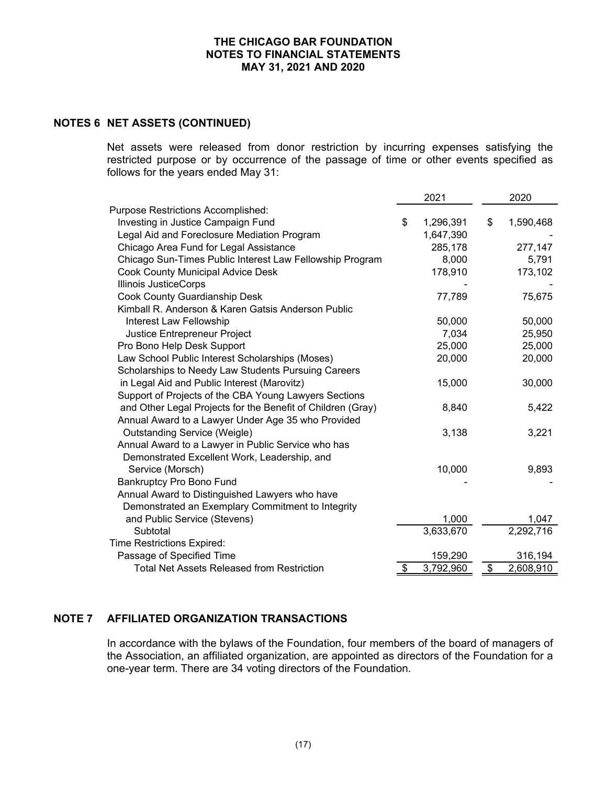### **NOTES 6 NET ASSETS (CONTINUED)**

Net assets were released from donor restriction by incurring expenses satisfying the restricted purpose or by occurrence of the passage of time or other events specified as follows for the years ended May 31:

|                                                             | 2021 |           |               | 2020      |  |
|-------------------------------------------------------------|------|-----------|---------------|-----------|--|
| <b>Purpose Restrictions Accomplished:</b>                   |      |           |               |           |  |
| Investing in Justice Campaign Fund                          | \$   | 1,296,391 | \$            | 1,590,468 |  |
| Legal Aid and Foreclosure Mediation Program                 |      | 1,647,390 |               |           |  |
| Chicago Area Fund for Legal Assistance                      |      | 285,178   |               | 277,147   |  |
| Chicago Sun-Times Public Interest Law Fellowship Program    |      | 8,000     |               | 5,791     |  |
| <b>Cook County Municipal Advice Desk</b>                    |      | 178,910   |               | 173,102   |  |
| <b>Illinois JusticeCorps</b>                                |      |           |               |           |  |
| Cook County Guardianship Desk                               |      | 77,789    |               | 75,675    |  |
| Kimball R. Anderson & Karen Gatsis Anderson Public          |      |           |               |           |  |
| Interest Law Fellowship                                     |      | 50,000    |               | 50,000    |  |
| Justice Entrepreneur Project                                |      | 7,034     |               | 25,950    |  |
| Pro Bono Help Desk Support                                  |      | 25,000    |               | 25,000    |  |
| Law School Public Interest Scholarships (Moses)             |      | 20,000    |               | 20,000    |  |
| Scholarships to Needy Law Students Pursuing Careers         |      |           |               |           |  |
| in Legal Aid and Public Interest (Marovitz)                 |      | 15,000    |               | 30,000    |  |
| Support of Projects of the CBA Young Lawyers Sections       |      |           |               |           |  |
| and Other Legal Projects for the Benefit of Children (Gray) |      | 8,840     |               | 5,422     |  |
| Annual Award to a Lawyer Under Age 35 who Provided          |      |           |               |           |  |
| <b>Outstanding Service (Weigle)</b>                         |      | 3,138     |               | 3,221     |  |
| Annual Award to a Lawyer in Public Service who has          |      |           |               |           |  |
| Demonstrated Excellent Work, Leadership, and                |      |           |               |           |  |
| Service (Morsch)                                            |      | 10,000    |               | 9,893     |  |
| <b>Bankruptcy Pro Bono Fund</b>                             |      |           |               |           |  |
| Annual Award to Distinguished Lawyers who have              |      |           |               |           |  |
| Demonstrated an Exemplary Commitment to Integrity           |      |           |               |           |  |
| and Public Service (Stevens)                                |      | 1,000     |               | 1,047     |  |
| Subtotal                                                    |      | 3,633,670 |               | 2,292,716 |  |
| Time Restrictions Expired:                                  |      |           |               |           |  |
| Passage of Specified Time                                   |      | 159,290   |               | 316,194   |  |
| <b>Total Net Assets Released from Restriction</b>           | \$   | 3,792,960 | $\frac{1}{2}$ | 2,608,910 |  |

# **NOTE 7 AFFILIATED ORGANIZATION TRANSACTIONS**

In accordance with the bylaws of the Foundation, four members of the board of managers of the Association, an affiliated organization, are appointed as directors of the Foundation for a one-year term. There are 34 voting directors of the Foundation.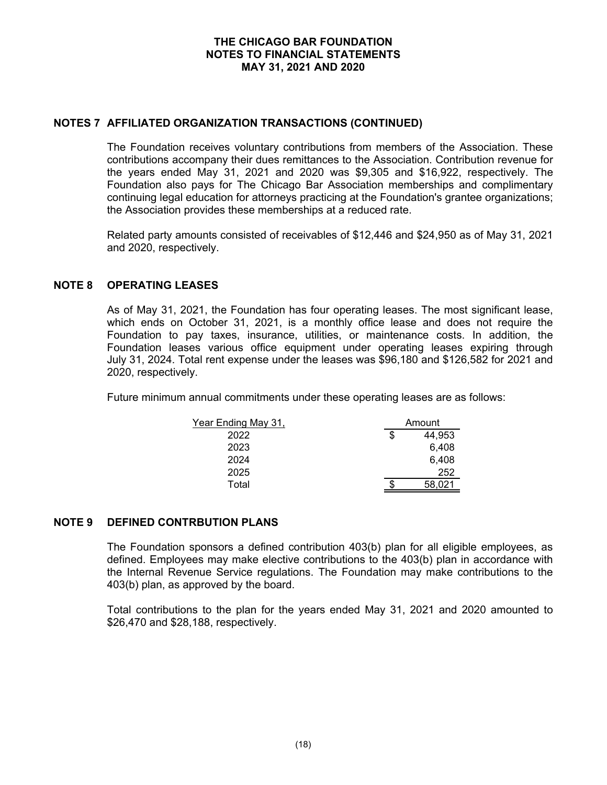### **NOTES 7 AFFILIATED ORGANIZATION TRANSACTIONS (CONTINUED)**

The Foundation receives voluntary contributions from members of the Association. These contributions accompany their dues remittances to the Association. Contribution revenue for the years ended May 31, 2021 and 2020 was \$9,305 and \$16,922, respectively. The Foundation also pays for The Chicago Bar Association memberships and complimentary continuing legal education for attorneys practicing at the Foundation's grantee organizations; the Association provides these memberships at a reduced rate.

Related party amounts consisted of receivables of \$12,446 and \$24,950 as of May 31, 2021 and 2020, respectively.

# **NOTE 8 OPERATING LEASES**

As of May 31, 2021, the Foundation has four operating leases. The most significant lease, which ends on October 31, 2021, is a monthly office lease and does not require the Foundation to pay taxes, insurance, utilities, or maintenance costs. In addition, the Foundation leases various office equipment under operating leases expiring through July 31, 2024. Total rent expense under the leases was \$96,180 and \$126,582 for 2021 and 2020, respectively.

Future minimum annual commitments under these operating leases are as follows:

| Year Ending May 31, | Amount |        |  |
|---------------------|--------|--------|--|
| 2022                | \$     | 44,953 |  |
| 2023                |        | 6,408  |  |
| 2024                |        | 6,408  |  |
| 2025                |        | 252    |  |
| Total               |        | 58.021 |  |

#### **NOTE 9 DEFINED CONTRBUTION PLANS**

The Foundation sponsors a defined contribution 403(b) plan for all eligible employees, as defined. Employees may make elective contributions to the 403(b) plan in accordance with the Internal Revenue Service regulations. The Foundation may make contributions to the 403(b) plan, as approved by the board.

Total contributions to the plan for the years ended May 31, 2021 and 2020 amounted to \$26,470 and \$28,188, respectively.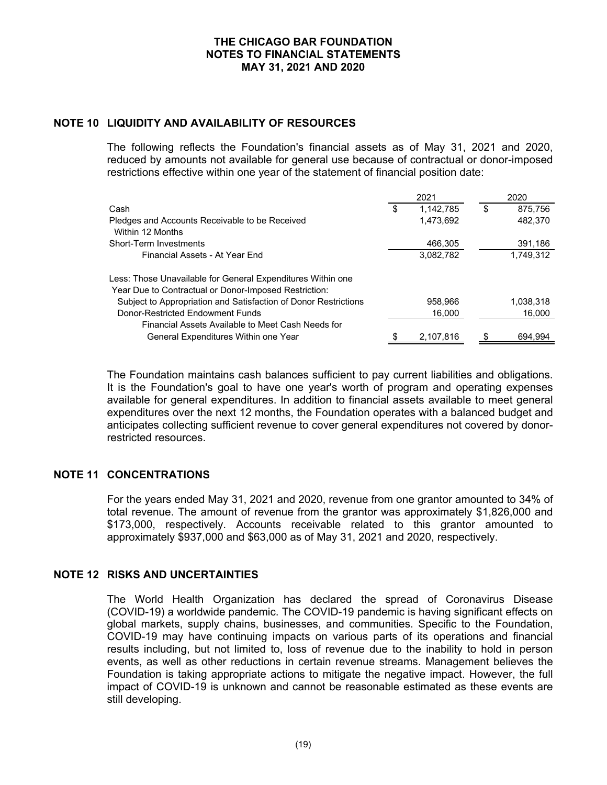### **NOTE 10 LIQUIDITY AND AVAILABILITY OF RESOURCES**

The following reflects the Foundation's financial assets as of May 31, 2021 and 2020, reduced by amounts not available for general use because of contractual or donor-imposed restrictions effective within one year of the statement of financial position date:

|                                                                    | 2021 |           |   | 2020      |  |
|--------------------------------------------------------------------|------|-----------|---|-----------|--|
| Cash                                                               | S    | 1,142,785 | S | 875,756   |  |
| Pledges and Accounts Receivable to be Received<br>Within 12 Months |      | 1,473,692 |   | 482,370   |  |
| Short-Term Investments                                             |      | 466,305   |   | 391,186   |  |
| Financial Assets - At Year End                                     |      | 3,082,782 |   | 1,749,312 |  |
| Less: Those Unavailable for General Expenditures Within one        |      |           |   |           |  |
| Year Due to Contractual or Donor-Imposed Restriction:              |      |           |   |           |  |
| Subject to Appropriation and Satisfaction of Donor Restrictions    |      | 958,966   |   | 1,038,318 |  |
| Donor-Restricted Endowment Funds                                   |      | 16,000    |   | 16,000    |  |
| Financial Assets Available to Meet Cash Needs for                  |      |           |   |           |  |
| General Expenditures Within one Year                               |      | 2.107.816 |   | 694.994   |  |

The Foundation maintains cash balances sufficient to pay current liabilities and obligations. It is the Foundation's goal to have one year's worth of program and operating expenses available for general expenditures. In addition to financial assets available to meet general expenditures over the next 12 months, the Foundation operates with a balanced budget and anticipates collecting sufficient revenue to cover general expenditures not covered by donorrestricted resources.

# **NOTE 11 CONCENTRATIONS**

For the years ended May 31, 2021 and 2020, revenue from one grantor amounted to 34% of total revenue. The amount of revenue from the grantor was approximately \$1,826,000 and \$173,000, respectively. Accounts receivable related to this grantor amounted to approximately \$937,000 and \$63,000 as of May 31, 2021 and 2020, respectively.

### **NOTE 12 RISKS AND UNCERTAINTIES**

The World Health Organization has declared the spread of Coronavirus Disease (COVID-19) a worldwide pandemic. The COVID-19 pandemic is having significant effects on global markets, supply chains, businesses, and communities. Specific to the Foundation, COVID-19 may have continuing impacts on various parts of its operations and financial results including, but not limited to, loss of revenue due to the inability to hold in person events, as well as other reductions in certain revenue streams. Management believes the Foundation is taking appropriate actions to mitigate the negative impact. However, the full impact of COVID-19 is unknown and cannot be reasonable estimated as these events are still developing.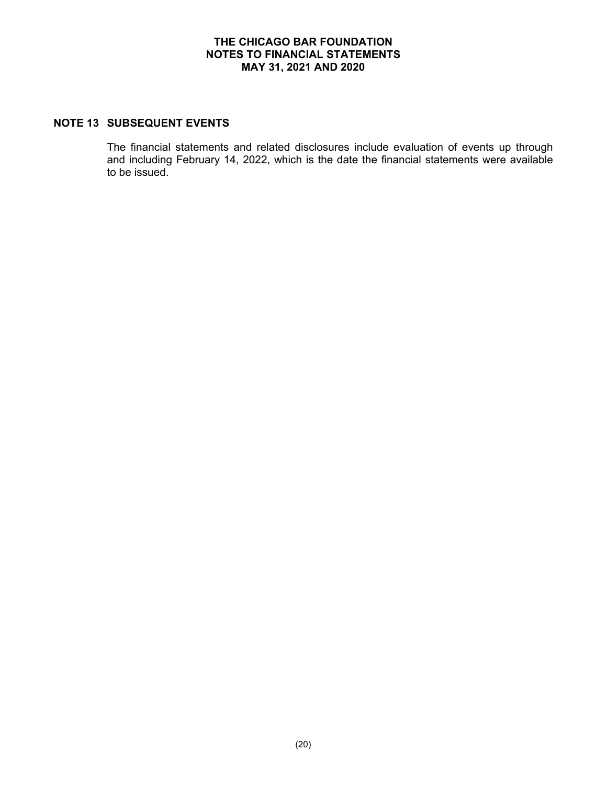### **NOTE 13 SUBSEQUENT EVENTS**

The financial statements and related disclosures include evaluation of events up through and including February 14, 2022, which is the date the financial statements were available to be issued.